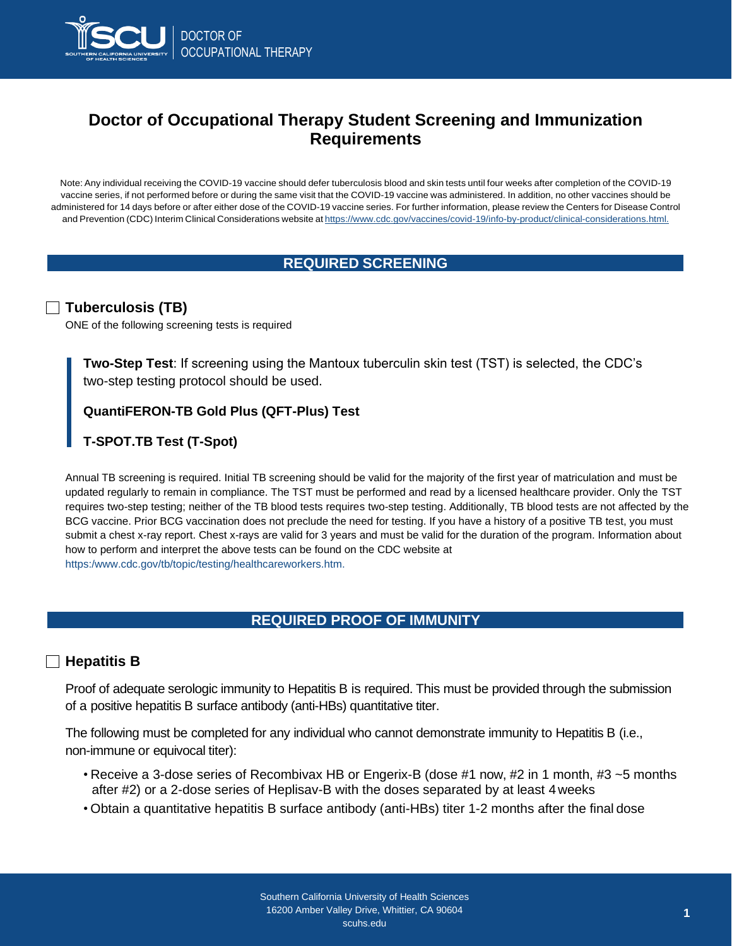

# **Doctor of Occupational Therapy Student Screening and Immunization Requirements**

Note: Any individual receiving the COVID-19 vaccine should defer tuberculosis blood and skin tests until four weeks after completion of the COVID-19 vaccine series, if not performed before or during the same visit that the COVID-19 vaccine was administered. In addition, no other vaccines should be administered for 14 days before or after either dose of the COVID-19 vaccine series. For further information, please review the Centers for Disease Control and Prevention (CDC) Interim Clinical Considerations website at [https://www.cdc.gov/vaccines/covid-19/info-by-product/clinical-considerations.html.](http://www.cdc.gov/vaccines/covid-19/info-by-product/clinical-considerations.html)

# **REQUIRED SCREENING**

## **Tuberculosis (TB)**

ONE of the following screening tests is required

**Two-Step Test**: If screening using the Mantoux tuberculin skin test (TST) is selected, the CDC's two-step testing protocol should be used.

## **QuantiFERON-TB Gold Plus (QFT-Plus) Test**

# **T-SPOT.TB Test (T-Spot)**

Annual TB screening is required. Initial TB screening should be valid for the majority of the first year of matriculation and must be updated regularly to remain in compliance. The TST must be performed and read by a licensed healthcare provider. Only the TST requires two-step testing; neither of the TB blood tests requires two-step testing. Additionally, TB blood tests are not affected by the BCG vaccine. Prior BCG vaccination does not preclude the need for testing. If you have a history of a positive TB test, you must submit a chest x-ray report. Chest x-rays are valid for 3 years and must be valid for the duration of the program. Information about how to perform and interpret the above tests can be found on the CDC website at [https:/www.cdc.gov/tb/topic/testing/healthcareworkers.htm.](http://www.cdc.gov/tb/topic/testing/healthcareworkers.htm)

# **REQUIRED PROOF OF IMMUNITY**

#### **Hepatitis B**

Proof of adequate serologic immunity to Hepatitis B is required. This must be provided through the submission of a positive hepatitis B surface antibody (anti-HBs) quantitative titer.

The following must be completed for any individual who cannot demonstrate immunity to Hepatitis B (i.e., non-immune or equivocal titer):

- Receive a 3-dose series of Recombivax HB or Engerix-B (dose #1 now, #2 in 1 month, #3 ~5 months after #2) or a 2-dose series of Heplisav-B with the doses separated by at least 4weeks
- Obtain a quantitative hepatitis B surface antibody (anti-HBs) titer 1-2 months after the final dose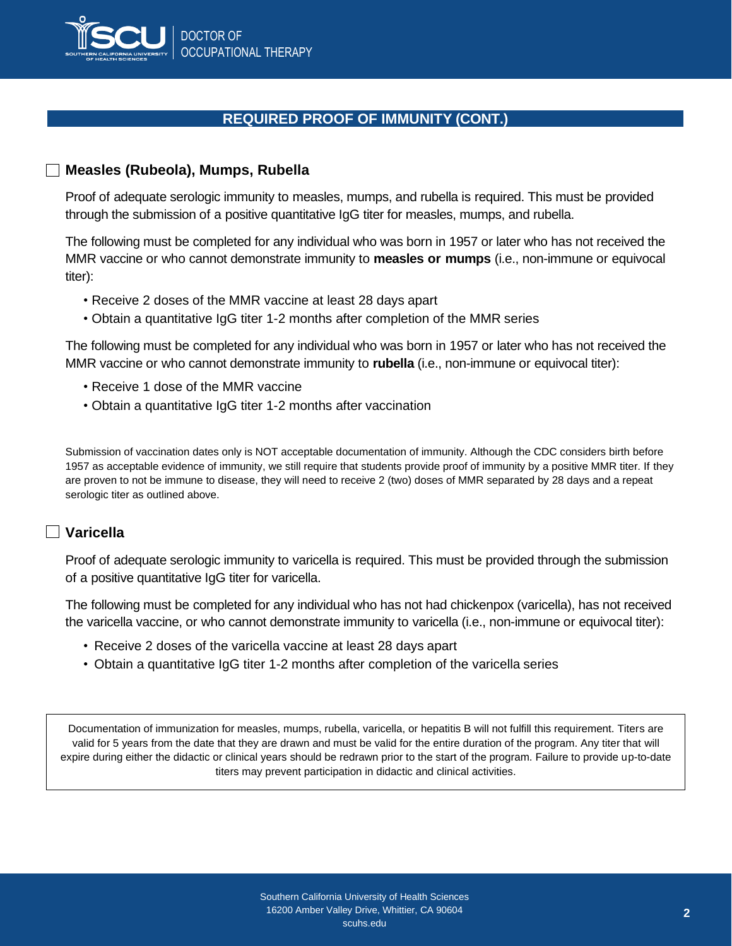

## **REQUIRED PROOF OF IMMUNITY (CONT.)**

#### **Measles (Rubeola), Mumps, Rubella**

Proof of adequate serologic immunity to measles, mumps, and rubella is required. This must be provided through the submission of a positive quantitative IgG titer for measles, mumps, and rubella.

The following must be completed for any individual who was born in 1957 or later who has not received the MMR vaccine or who cannot demonstrate immunity to **measles or mumps** (i.e., non-immune or equivocal titer):

- Receive 2 doses of the MMR vaccine at least 28 days apart
- Obtain a quantitative IgG titer 1-2 months after completion of the MMR series

The following must be completed for any individual who was born in 1957 or later who has not received the MMR vaccine or who cannot demonstrate immunity to **rubella** (i.e., non-immune or equivocal titer):

- Receive 1 dose of the MMR vaccine
- Obtain a quantitative IgG titer 1-2 months after vaccination

Submission of vaccination dates only is NOT acceptable documentation of immunity. Although the CDC considers birth before 1957 as acceptable evidence of immunity, we still require that students provide proof of immunity by a positive MMR titer. If they are proven to not be immune to disease, they will need to receive 2 (two) doses of MMR separated by 28 days and a repeat serologic titer as outlined above.

### **Varicella**

Proof of adequate serologic immunity to varicella is required. This must be provided through the submission of a positive quantitative IgG titer for varicella.

The following must be completed for any individual who has not had chickenpox (varicella), has not received the varicella vaccine, or who cannot demonstrate immunity to varicella (i.e., non-immune or equivocal titer):

- Receive 2 doses of the varicella vaccine at least 28 days apart
- Obtain a quantitative IgG titer 1-2 months after completion of the varicella series

Documentation of immunization for measles, mumps, rubella, varicella, or hepatitis B will not fulfill this requirement. Titers are valid for 5 years from the date that they are drawn and must be valid for the entire duration of the program. Any titer that will expire during either the didactic or clinical years should be redrawn prior to the start of the program. Failure to provide up-to-date titers may prevent participation in didactic and clinical activities.